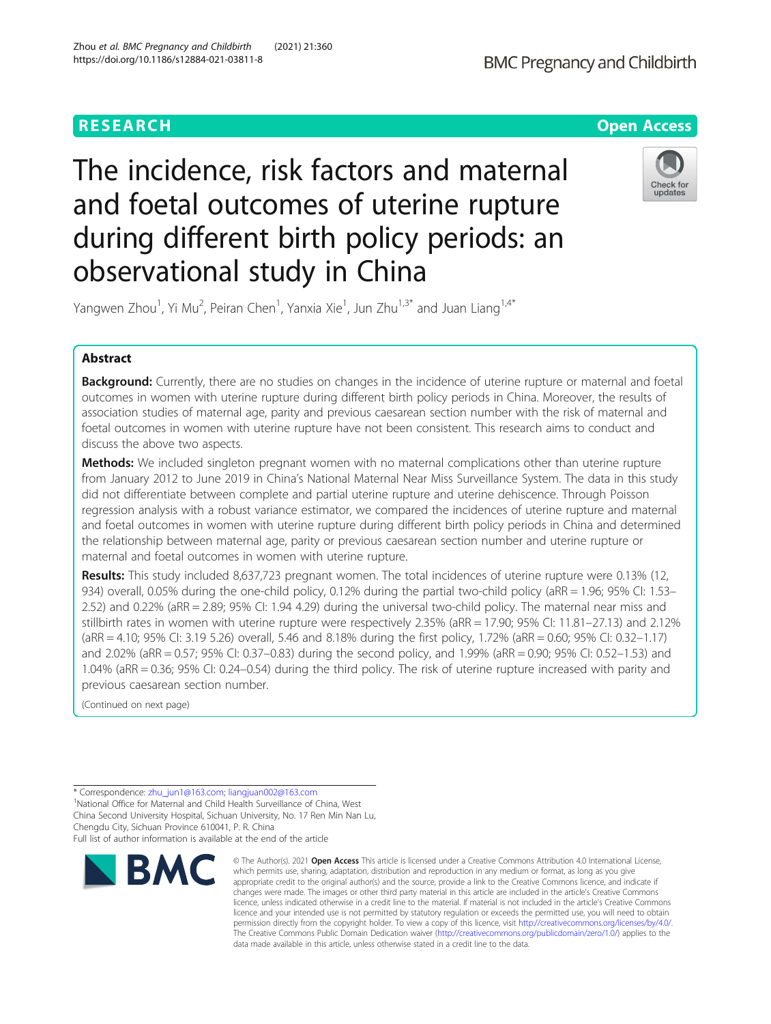

# The incidence, risk factors and maternal and foetal outcomes of uterine rupture during different birth policy periods: an observational study in China



Yangwen Zhou<sup>1</sup>, Yi Mu<sup>2</sup>, Peiran Chen<sup>1</sup>, Yanxia Xie<sup>1</sup>, Jun Zhu<sup>1,3\*</sup> and Juan Liang<sup>1,4\*</sup>

# Abstract

Background: Currently, there are no studies on changes in the incidence of uterine rupture or maternal and foetal outcomes in women with uterine rupture during different birth policy periods in China. Moreover, the results of association studies of maternal age, parity and previous caesarean section number with the risk of maternal and foetal outcomes in women with uterine rupture have not been consistent. This research aims to conduct and discuss the above two aspects.

**Methods:** We included singleton pregnant women with no maternal complications other than uterine rupture from January 2012 to June 2019 in China's National Maternal Near Miss Surveillance System. The data in this study did not differentiate between complete and partial uterine rupture and uterine dehiscence. Through Poisson regression analysis with a robust variance estimator, we compared the incidences of uterine rupture and maternal and foetal outcomes in women with uterine rupture during different birth policy periods in China and determined the relationship between maternal age, parity or previous caesarean section number and uterine rupture or maternal and foetal outcomes in women with uterine rupture.

Results: This study included 8,637,723 pregnant women. The total incidences of uterine rupture were 0.13% (12, 934) overall, 0.05% during the one-child policy, 0.12% during the partial two-child policy (aRR = 1.96; 95% CI: 1.53– 2.52) and 0.22% (aRR = 2.89; 95% CI: 1.94 4.29) during the universal two-child policy. The maternal near miss and stillbirth rates in women with uterine rupture were respectively 2.35% (aRR = 17.90; 95% CI: 11.81–27.13) and 2.12% (aRR = 4.10; 95% CI: 3.19 5.26) overall, 5.46 and 8.18% during the first policy, 1.72% (aRR = 0.60; 95% CI: 0.32–1.17) and 2.02% (aRR = 0.57; 95% CI: 0.37–0.83) during the second policy, and 1.99% (aRR = 0.90; 95% CI: 0.52–1.53) and 1.04% (aRR = 0.36; 95% CI: 0.24–0.54) during the third policy. The risk of uterine rupture increased with parity and previous caesarean section number.

(Continued on next page)

Chengdu City, Sichuan Province 610041, P. R. China Full list of author information is available at the end of the article



<sup>©</sup> The Author(s), 2021 **Open Access** This article is licensed under a Creative Commons Attribution 4.0 International License, which permits use, sharing, adaptation, distribution and reproduction in any medium or format, as long as you give appropriate credit to the original author(s) and the source, provide a link to the Creative Commons licence, and indicate if changes were made. The images or other third party material in this article are included in the article's Creative Commons licence, unless indicated otherwise in a credit line to the material. If material is not included in the article's Creative Commons licence and your intended use is not permitted by statutory regulation or exceeds the permitted use, you will need to obtain permission directly from the copyright holder. To view a copy of this licence, visit [http://creativecommons.org/licenses/by/4.0/.](http://creativecommons.org/licenses/by/4.0/) The Creative Commons Public Domain Dedication waiver [\(http://creativecommons.org/publicdomain/zero/1.0/](http://creativecommons.org/publicdomain/zero/1.0/)) applies to the data made available in this article, unless otherwise stated in a credit line to the data.

<sup>\*</sup> Correspondence: [zhu\\_jun1@163.com](mailto:zhu_jun1@163.com); [liangjuan002@163.com](mailto:liangjuan002@163.com) <sup>1</sup> <sup>1</sup>National Office for Maternal and Child Health Surveillance of China, West China Second University Hospital, Sichuan University, No. 17 Ren Min Nan Lu,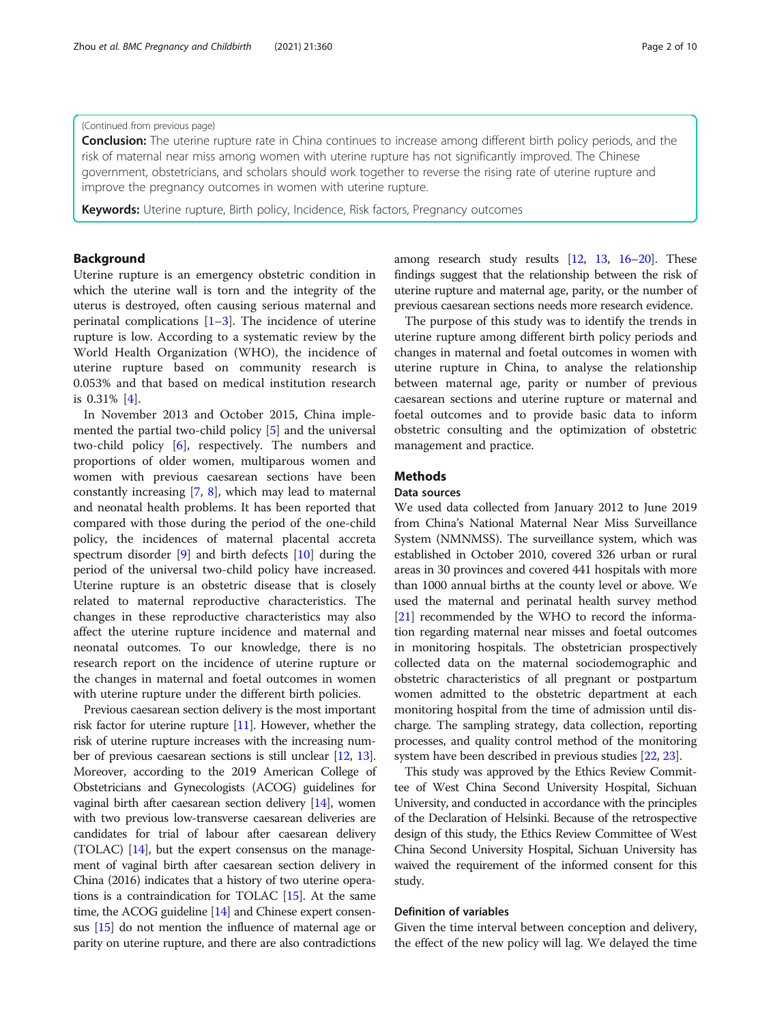# (Continued from previous page)

**Conclusion:** The uterine rupture rate in China continues to increase among different birth policy periods, and the risk of maternal near miss among women with uterine rupture has not significantly improved. The Chinese government, obstetricians, and scholars should work together to reverse the rising rate of uterine rupture and improve the pregnancy outcomes in women with uterine rupture.

Keywords: Uterine rupture, Birth policy, Incidence, Risk factors, Pregnancy outcomes

# Background

Uterine rupture is an emergency obstetric condition in which the uterine wall is torn and the integrity of the uterus is destroyed, often causing serious maternal and perinatal complications  $[1-3]$  $[1-3]$  $[1-3]$  $[1-3]$ . The incidence of uterine rupture is low. According to a systematic review by the World Health Organization (WHO), the incidence of uterine rupture based on community research is 0.053% and that based on medical institution research is 0.31% [\[4](#page-9-0)].

In November 2013 and October 2015, China implemented the partial two-child policy [\[5](#page-9-0)] and the universal two-child policy [\[6](#page-9-0)], respectively. The numbers and proportions of older women, multiparous women and women with previous caesarean sections have been constantly increasing [[7,](#page-9-0) [8](#page-9-0)], which may lead to maternal and neonatal health problems. It has been reported that compared with those during the period of the one-child policy, the incidences of maternal placental accreta spectrum disorder [[9\]](#page-9-0) and birth defects [[10\]](#page-9-0) during the period of the universal two-child policy have increased. Uterine rupture is an obstetric disease that is closely related to maternal reproductive characteristics. The changes in these reproductive characteristics may also affect the uterine rupture incidence and maternal and neonatal outcomes. To our knowledge, there is no research report on the incidence of uterine rupture or the changes in maternal and foetal outcomes in women with uterine rupture under the different birth policies.

Previous caesarean section delivery is the most important risk factor for uterine rupture  $[11]$ . However, whether the risk of uterine rupture increases with the increasing number of previous caesarean sections is still unclear [[12](#page-9-0), [13](#page-9-0)]. Moreover, according to the 2019 American College of Obstetricians and Gynecologists (ACOG) guidelines for vaginal birth after caesarean section delivery [\[14](#page-9-0)], women with two previous low-transverse caesarean deliveries are candidates for trial of labour after caesarean delivery (TOLAC) [\[14\]](#page-9-0), but the expert consensus on the management of vaginal birth after caesarean section delivery in China (2016) indicates that a history of two uterine operations is a contraindication for TOLAC [\[15](#page-9-0)]. At the same time, the ACOG guideline [[14](#page-9-0)] and Chinese expert consensus [[15](#page-9-0)] do not mention the influence of maternal age or parity on uterine rupture, and there are also contradictions among research study results [[12](#page-9-0), [13](#page-9-0), [16](#page-9-0)–[20\]](#page-9-0). These findings suggest that the relationship between the risk of uterine rupture and maternal age, parity, or the number of previous caesarean sections needs more research evidence.

The purpose of this study was to identify the trends in uterine rupture among different birth policy periods and changes in maternal and foetal outcomes in women with uterine rupture in China, to analyse the relationship between maternal age, parity or number of previous caesarean sections and uterine rupture or maternal and foetal outcomes and to provide basic data to inform obstetric consulting and the optimization of obstetric management and practice.

# **Methods**

# Data sources

We used data collected from January 2012 to June 2019 from China's National Maternal Near Miss Surveillance System (NMNMSS). The surveillance system, which was established in October 2010, covered 326 urban or rural areas in 30 provinces and covered 441 hospitals with more than 1000 annual births at the county level or above. We used the maternal and perinatal health survey method [[21](#page-9-0)] recommended by the WHO to record the information regarding maternal near misses and foetal outcomes in monitoring hospitals. The obstetrician prospectively collected data on the maternal sociodemographic and obstetric characteristics of all pregnant or postpartum women admitted to the obstetric department at each monitoring hospital from the time of admission until discharge. The sampling strategy, data collection, reporting processes, and quality control method of the monitoring system have been described in previous studies [[22,](#page-9-0) [23\]](#page-9-0).

This study was approved by the Ethics Review Committee of West China Second University Hospital, Sichuan University, and conducted in accordance with the principles of the Declaration of Helsinki. Because of the retrospective design of this study, the Ethics Review Committee of West China Second University Hospital, Sichuan University has waived the requirement of the informed consent for this study.

# Definition of variables

Given the time interval between conception and delivery, the effect of the new policy will lag. We delayed the time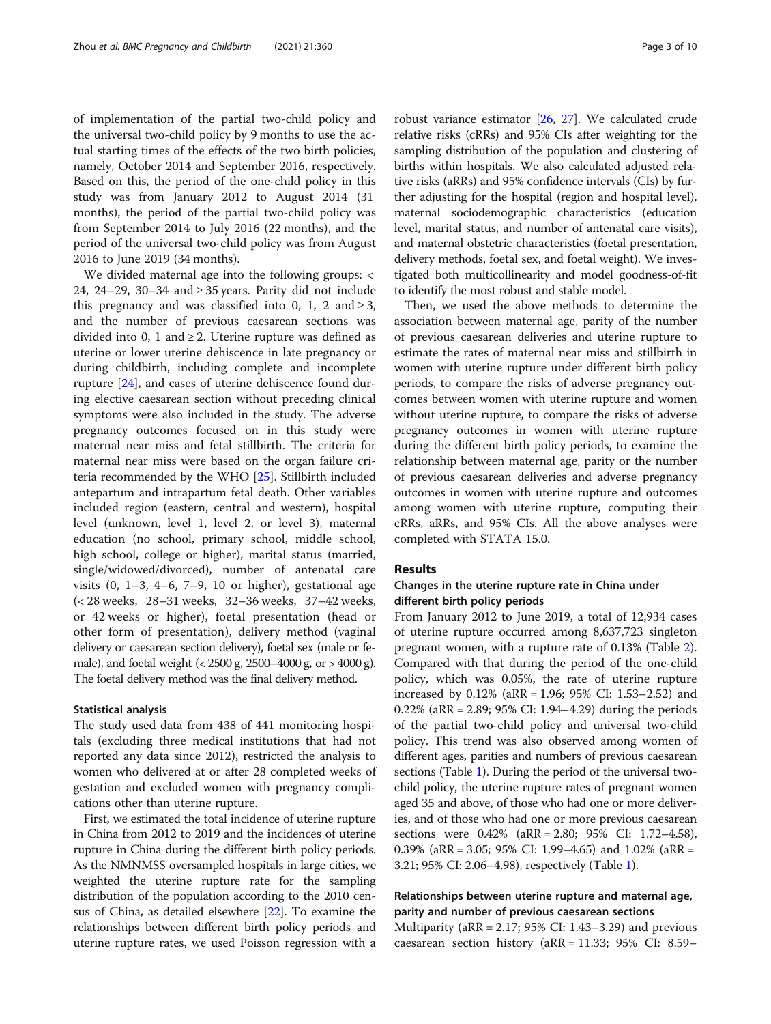of implementation of the partial two-child policy and the universal two-child policy by 9 months to use the actual starting times of the effects of the two birth policies, namely, October 2014 and September 2016, respectively. Based on this, the period of the one-child policy in this study was from January 2012 to August 2014 (31 months), the period of the partial two-child policy was from September 2014 to July 2016 (22 months), and the period of the universal two-child policy was from August 2016 to June 2019 (34 months).

We divided maternal age into the following groups: < 24, 24–29, 30–34 and ≥ 35 years. Parity did not include this pregnancy and was classified into 0, 1, 2 and  $\geq 3$ , and the number of previous caesarean sections was divided into 0, 1 and  $\geq$  2. Uterine rupture was defined as uterine or lower uterine dehiscence in late pregnancy or during childbirth, including complete and incomplete rupture [[24\]](#page-9-0), and cases of uterine dehiscence found during elective caesarean section without preceding clinical symptoms were also included in the study. The adverse pregnancy outcomes focused on in this study were maternal near miss and fetal stillbirth. The criteria for maternal near miss were based on the organ failure criteria recommended by the WHO [[25\]](#page-9-0). Stillbirth included antepartum and intrapartum fetal death. Other variables included region (eastern, central and western), hospital level (unknown, level 1, level 2, or level 3), maternal education (no school, primary school, middle school, high school, college or higher), marital status (married, single/widowed/divorced), number of antenatal care visits (0, 1–3, 4–6, 7–9, 10 or higher), gestational age (< 28 weeks, 28–31 weeks, 32–36 weeks, 37–42 weeks, or 42 weeks or higher), foetal presentation (head or other form of presentation), delivery method (vaginal delivery or caesarean section delivery), foetal sex (male or female), and foetal weight (< 2500 g, 2500–4000 g, or > 4000 g). The foetal delivery method was the final delivery method.

#### Statistical analysis

The study used data from 438 of 441 monitoring hospitals (excluding three medical institutions that had not reported any data since 2012), restricted the analysis to women who delivered at or after 28 completed weeks of gestation and excluded women with pregnancy complications other than uterine rupture.

First, we estimated the total incidence of uterine rupture in China from 2012 to 2019 and the incidences of uterine rupture in China during the different birth policy periods. As the NMNMSS oversampled hospitals in large cities, we weighted the uterine rupture rate for the sampling distribution of the population according to the 2010 census of China, as detailed elsewhere [[22](#page-9-0)]. To examine the relationships between different birth policy periods and uterine rupture rates, we used Poisson regression with a robust variance estimator [[26](#page-9-0), [27](#page-9-0)]. We calculated crude relative risks (cRRs) and 95% CIs after weighting for the sampling distribution of the population and clustering of births within hospitals. We also calculated adjusted relative risks (aRRs) and 95% confidence intervals (CIs) by further adjusting for the hospital (region and hospital level), maternal sociodemographic characteristics (education level, marital status, and number of antenatal care visits), and maternal obstetric characteristics (foetal presentation, delivery methods, foetal sex, and foetal weight). We investigated both multicollinearity and model goodness-of-fit to identify the most robust and stable model.

Then, we used the above methods to determine the association between maternal age, parity of the number of previous caesarean deliveries and uterine rupture to estimate the rates of maternal near miss and stillbirth in women with uterine rupture under different birth policy periods, to compare the risks of adverse pregnancy outcomes between women with uterine rupture and women without uterine rupture, to compare the risks of adverse pregnancy outcomes in women with uterine rupture during the different birth policy periods, to examine the relationship between maternal age, parity or the number of previous caesarean deliveries and adverse pregnancy outcomes in women with uterine rupture and outcomes among women with uterine rupture, computing their cRRs, aRRs, and 95% CIs. All the above analyses were completed with STATA 15.0.

# Results

# Changes in the uterine rupture rate in China under different birth policy periods

From January 2012 to June 2019, a total of 12,934 cases of uterine rupture occurred among 8,637,723 singleton pregnant women, with a rupture rate of 0.13% (Table [2](#page-4-0)). Compared with that during the period of the one-child policy, which was 0.05%, the rate of uterine rupture increased by 0.12% (aRR = 1.96; 95% CI: 1.53–2.52) and 0.22% (aRR = 2.89; 95% CI: 1.94–4.29) during the periods of the partial two-child policy and universal two-child policy. This trend was also observed among women of different ages, parities and numbers of previous caesarean sections (Table [1\)](#page-3-0). During the period of the universal twochild policy, the uterine rupture rates of pregnant women aged 35 and above, of those who had one or more deliveries, and of those who had one or more previous caesarean sections were 0.42% (aRR = 2.80; 95% CI: 1.72–4.58), 0.39% (aRR = 3.05; 95% CI: 1.99–4.65) and 1.02% (aRR = 3.21; 95% CI: 2.06–4.98), respectively (Table [1](#page-3-0)).

# Relationships between uterine rupture and maternal age, parity and number of previous caesarean sections

Multiparity (aRR = 2.17; 95% CI: 1.43–3.29) and previous caesarean section history (aRR = 11.33; 95% CI: 8.59–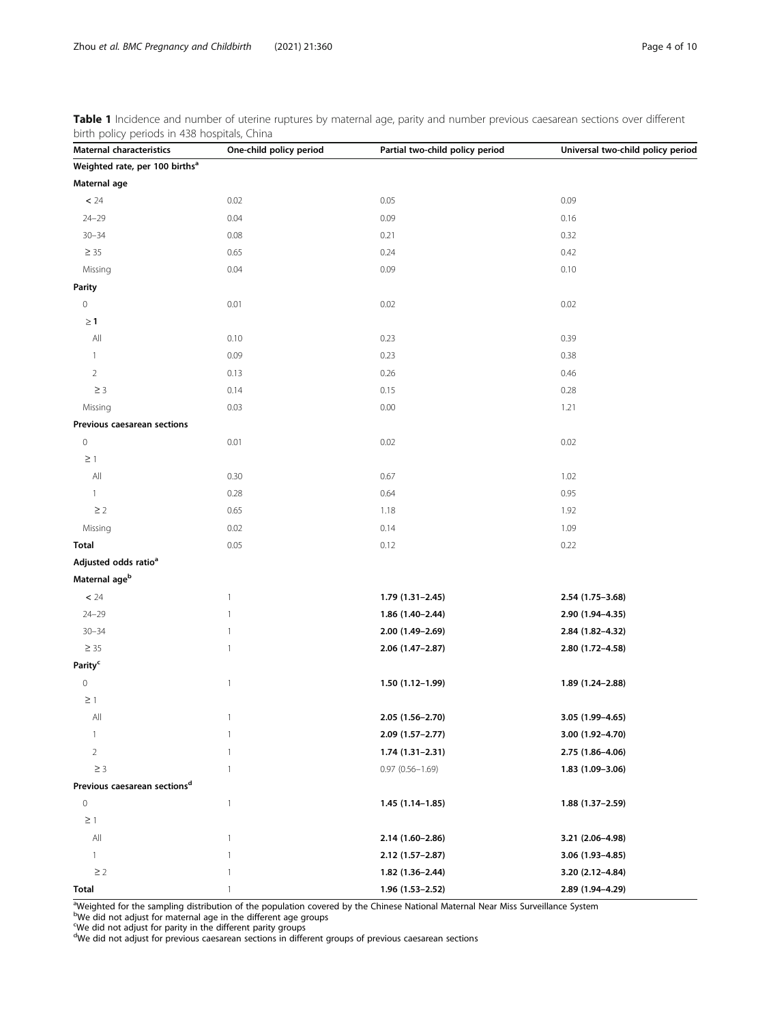<span id="page-3-0"></span>Table 1 Incidence and number of uterine ruptures by maternal age, parity and number previous caesarean sections over different birth policy periods in 438 hospitals, China

| pliter policy periods in 450 hospitals, Crima<br>Maternal characteristics | One-child policy period | Partial two-child policy period | Universal two-child policy period |  |
|---------------------------------------------------------------------------|-------------------------|---------------------------------|-----------------------------------|--|
| Weighted rate, per 100 births <sup>a</sup>                                |                         |                                 |                                   |  |
| Maternal age                                                              |                         |                                 |                                   |  |
| $< 24$                                                                    | 0.02                    | 0.05                            | 0.09                              |  |
| $24 - 29$                                                                 | 0.04                    | 0.09                            | 0.16                              |  |
| $30 - 34$                                                                 | 0.08                    | 0.21                            | 0.32                              |  |
| $\geq 35$                                                                 | 0.65                    | 0.24                            | 0.42                              |  |
| Missing                                                                   | 0.04                    | 0.09                            | 0.10                              |  |
| <b>Parity</b>                                                             |                         |                                 |                                   |  |
| $\,0\,$                                                                   | 0.01                    | 0.02                            | 0.02                              |  |
| $\geq 1$                                                                  |                         |                                 |                                   |  |
| All                                                                       | 0.10                    | 0.23                            | 0.39                              |  |
| $\mathbf{1}$                                                              | 0.09                    | 0.23                            | 0.38                              |  |
| $\overline{2}$                                                            | 0.13                    | 0.26                            | 0.46                              |  |
| $\geq$ 3                                                                  | 0.14                    | 0.15                            | 0.28                              |  |
| Missing                                                                   | 0.03                    | 0.00                            | 1.21                              |  |
| Previous caesarean sections                                               |                         |                                 |                                   |  |
| $\,0\,$                                                                   | 0.01                    | 0.02                            | 0.02                              |  |
| $\geq$ 1                                                                  |                         |                                 |                                   |  |
| $\mathsf{All}$                                                            | 0.30                    | 0.67                            | 1.02                              |  |
| $\mathbf{1}$                                                              | 0.28                    | 0.64                            | 0.95                              |  |
| $\geq$ 2                                                                  | 0.65                    | 1.18                            | 1.92                              |  |
| Missing                                                                   | 0.02                    | 0.14                            | 1.09                              |  |
| <b>Total</b>                                                              | 0.05                    | 0.12                            | 0.22                              |  |
| Adjusted odds ratio <sup>a</sup>                                          |                         |                                 |                                   |  |
| Maternal age <sup>b</sup>                                                 |                         |                                 |                                   |  |
| $\leq$ 24                                                                 | $\mathbf{1}$            | $1.79(1.31 - 2.45)$             | 2.54 (1.75-3.68)                  |  |
| $24 - 29$                                                                 | $\mathbf{1}$            | 1.86 (1.40-2.44)                | 2.90 (1.94-4.35)                  |  |
| $30 - 34$                                                                 | $\mathbf{1}$            | 2.00 (1.49-2.69)                | 2.84 (1.82-4.32)                  |  |
| $\geq 35$                                                                 | $\mathbf{1}$            | 2.06 (1.47-2.87)                | 2.80 (1.72-4.58)                  |  |
| Parity <sup>c</sup>                                                       |                         |                                 |                                   |  |
| $\mathbf 0$                                                               | $\mathbf{1}$            | 1.50 (1.12-1.99)                | 1.89 (1.24-2.88)                  |  |
| $\geq$ 1                                                                  |                         |                                 |                                   |  |
| $\mathsf{All}$                                                            | $\mathbf{1}$            | $2.05(1.56-2.70)$               | 3.05 (1.99-4.65)                  |  |
| $\mathbf{1}$                                                              | 1                       | 2.09 (1.57-2.77)                | 3.00 (1.92-4.70)                  |  |
| $\overline{2}$                                                            | 1                       | $1.74(1.31 - 2.31)$             | 2.75 (1.86-4.06)                  |  |
| $\geq$ 3                                                                  | 1                       | $0.97(0.56 - 1.69)$             | 1.83 (1.09-3.06)                  |  |
| Previous caesarean sections <sup>d</sup>                                  |                         |                                 |                                   |  |
| $\,0\,$                                                                   | $\mathbf{1}$            | 1.45 (1.14-1.85)                | 1.88 (1.37-2.59)                  |  |
| $\geq$ 1                                                                  |                         |                                 |                                   |  |
| All                                                                       | $\mathbf{1}$            | 2.14 (1.60-2.86)                | 3.21 (2.06-4.98)                  |  |
| $\mathbf{1}$                                                              | 1                       | 2.12 (1.57-2.87)                | 3.06 (1.93-4.85)                  |  |
| $\geq$ 2                                                                  | 1                       | $1.82(1.36 - 2.44)$             | 3.20 (2.12-4.84)                  |  |
| Total                                                                     | $\mathbf{1}$            | 1.96 (1.53-2.52)                | 2.89 (1.94-4.29)                  |  |

<sup>a</sup>Weighted for the sampling distribution of the population covered by the Chinese National Maternal Near Miss Surveillance System<br><sup>b</sup>We did not adjust for maternal age in the different age groups

<sup>c</sup>We did not adjust for parity in the different parity groups<br><sup>d</sup>We did not adjust for previous caesarean sections in different groups of previous caesarean sections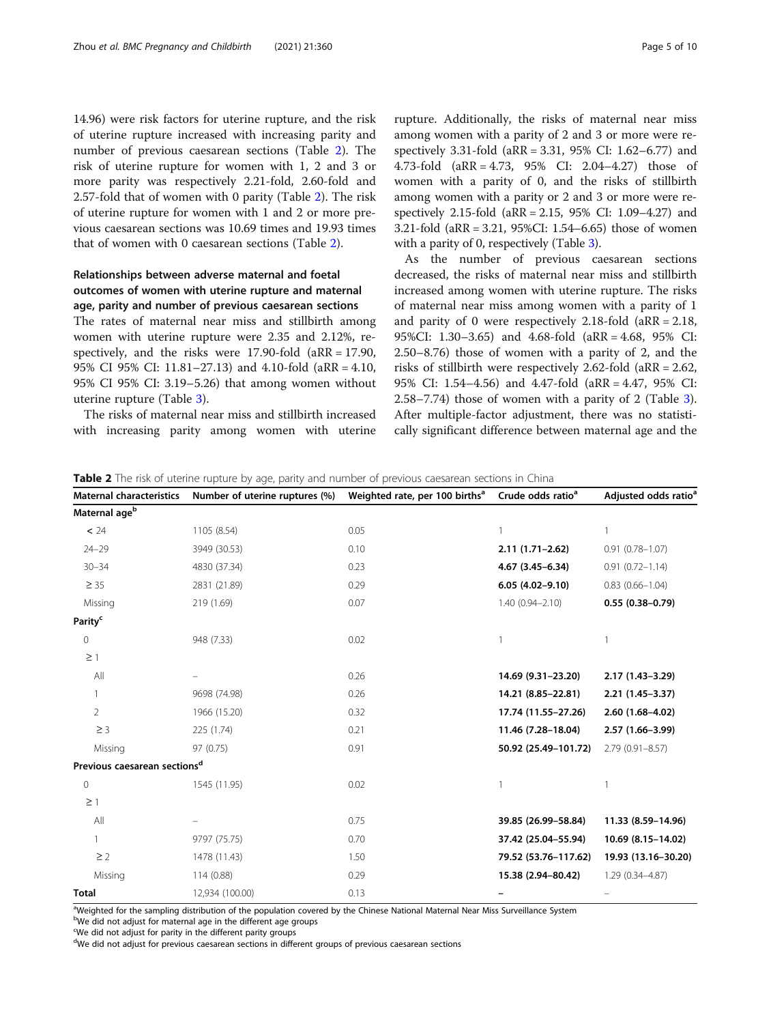<span id="page-4-0"></span>14.96) were risk factors for uterine rupture, and the risk of uterine rupture increased with increasing parity and number of previous caesarean sections (Table 2). The risk of uterine rupture for women with 1, 2 and 3 or more parity was respectively 2.21-fold, 2.60-fold and 2.57-fold that of women with 0 parity (Table 2). The risk of uterine rupture for women with 1 and 2 or more previous caesarean sections was 10.69 times and 19.93 times that of women with 0 caesarean sections (Table 2).

# Relationships between adverse maternal and foetal outcomes of women with uterine rupture and maternal age, parity and number of previous caesarean sections

The rates of maternal near miss and stillbirth among women with uterine rupture were 2.35 and 2.12%, respectively, and the risks were 17.90-fold (aRR = 17.90, 95% CI 95% CI: 11.81–27.13) and 4.10-fold (aRR = 4.10, 95% CI 95% CI: 3.19–5.26) that among women without uterine rupture (Table [3](#page-5-0)).

The risks of maternal near miss and stillbirth increased with increasing parity among women with uterine

rupture. Additionally, the risks of maternal near miss among women with a parity of 2 and 3 or more were respectively 3.31-fold (aRR = 3.31, 95% CI: 1.62–6.77) and 4.73-fold (aRR = 4.73, 95% CI: 2.04–4.27) those of women with a parity of 0, and the risks of stillbirth among women with a parity or 2 and 3 or more were respectively 2.15-fold (aRR = 2.15, 95% CI: 1.09–4.27) and 3.21-fold (aRR = 3.21, 95%CI: 1.54–6.65) those of women with a parity of 0, respectively (Table [3](#page-5-0)).

As the number of previous caesarean sections decreased, the risks of maternal near miss and stillbirth increased among women with uterine rupture. The risks of maternal near miss among women with a parity of 1 and parity of 0 were respectively 2.18-fold (aRR = 2.18, 95%CI: 1.30–3.65) and 4.68-fold (aRR = 4.68, 95% CI: 2.50–8.76) those of women with a parity of 2, and the risks of stillbirth were respectively 2.62-fold (aRR = 2.62, 95% CI: 1.54–4.56) and 4.47-fold (aRR = 4.47, 95% CI: 2.58–7.74) those of women with a parity of 2 (Table [3](#page-5-0)). After multiple-factor adjustment, there was no statistically significant difference between maternal age and the

| <b>Maternal characteristics</b>          | Number of uterine ruptures (%) | Weighted rate, per 100 births <sup>a</sup> | Crude odds ratio <sup>a</sup> | Adjusted odds ratio <sup>a</sup> |
|------------------------------------------|--------------------------------|--------------------------------------------|-------------------------------|----------------------------------|
| Maternal age <sup>b</sup>                |                                |                                            |                               |                                  |
| < 24                                     | 1105 (8.54)                    | 0.05                                       |                               | 1                                |
| $24 - 29$                                | 3949 (30.53)                   | 0.10                                       | $2.11(1.71-2.62)$             | $0.91(0.78 - 1.07)$              |
| $30 - 34$                                | 4830 (37.34)                   | 0.23                                       | $4.67(3.45 - 6.34)$           | $0.91(0.72 - 1.14)$              |
| $\geq$ 35                                | 2831 (21.89)                   | 0.29                                       | $6.05(4.02 - 9.10)$           | $0.83$ $(0.66 - 1.04)$           |
| Missing                                  | 219 (1.69)                     | 0.07                                       | $1.40(0.94 - 2.10)$           | $0.55(0.38 - 0.79)$              |
| Parity <sup>c</sup>                      |                                |                                            |                               |                                  |
| $\mathbf{0}$                             | 948 (7.33)                     | 0.02                                       |                               |                                  |
| $\geq$ 1                                 |                                |                                            |                               |                                  |
| All                                      |                                | 0.26                                       | 14.69 (9.31-23.20)            | 2.17 (1.43-3.29)                 |
| $\mathbf{1}$                             | 9698 (74.98)                   | 0.26                                       | 14.21 (8.85-22.81)            | $2.21(1.45-3.37)$                |
| $\overline{2}$                           | 1966 (15.20)                   | 0.32                                       | 17.74 (11.55-27.26)           | 2.60 (1.68-4.02)                 |
| $\geq$ 3                                 | 225 (1.74)                     | 0.21                                       | 11.46 (7.28-18.04)            | 2.57 (1.66-3.99)                 |
| Missing                                  | 97 (0.75)                      | 0.91                                       | 50.92 (25.49-101.72)          | $2.79(0.91 - 8.57)$              |
| Previous caesarean sections <sup>d</sup> |                                |                                            |                               |                                  |
| $\mathbf{0}$                             | 1545 (11.95)                   | 0.02                                       |                               |                                  |
| $\geq$ 1                                 |                                |                                            |                               |                                  |
| All                                      |                                | 0.75                                       | 39.85 (26.99-58.84)           | 11.33 (8.59-14.96)               |
| $\mathbf{1}$                             | 9797 (75.75)                   | 0.70                                       | 37.42 (25.04-55.94)           | 10.69 (8.15-14.02)               |
| $\geq$ 2                                 | 1478 (11.43)                   | 1.50                                       | 79.52 (53.76-117.62)          | 19.93 (13.16-30.20)              |
| Missing                                  | 114 (0.88)                     | 0.29                                       | 15.38 (2.94-80.42)            | 1.29 (0.34-4.87)                 |
| <b>Total</b>                             | 12,934 (100.00)                | 0.13                                       |                               |                                  |

a<br>Weighted for the sampling distribution of the population covered by the Chinese National Maternal Near Miss Surveillance System

bWe did not adjust for maternal age in the different age groups

We did not adjust for parity in the different parity groups

<sup>d</sup>We did not adjust for previous caesarean sections in different groups of previous caesarean sections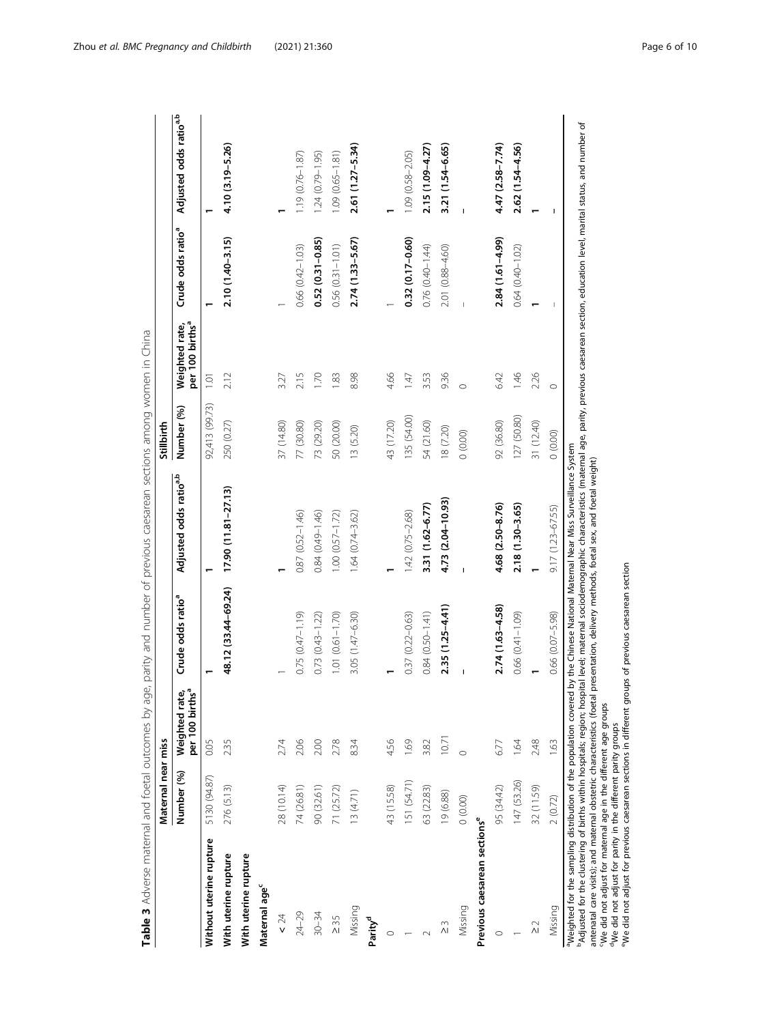<span id="page-5-0"></span>

|                                                                  | Maternal near miss |                                               |                                                                                                                                                                                                                                          |                                                                | Stillbirth     |                                               |                               |                                    |
|------------------------------------------------------------------|--------------------|-----------------------------------------------|------------------------------------------------------------------------------------------------------------------------------------------------------------------------------------------------------------------------------------------|----------------------------------------------------------------|----------------|-----------------------------------------------|-------------------------------|------------------------------------|
|                                                                  | Number (%)         | Weighted rate,<br>per 100 births <sup>a</sup> | Crude odds ratio <sup>a</sup>                                                                                                                                                                                                            | Adjusted odds ratio <sup>a,b</sup>                             | Number (%)     | per 100 births <sup>a</sup><br>Weighted rate, | Crude odds ratio <sup>a</sup> | Adjusted odds ratio <sup>a,b</sup> |
| Without uterine rupture                                          | 5130 (94.87)       | 0.05                                          |                                                                                                                                                                                                                                          |                                                                | 92,413 (99.73) | $\overline{1}$ .01                            |                               |                                    |
| With uterine rupture                                             | 276 (5.13)         | 2.35                                          | 48.12 (33.44-69.24)                                                                                                                                                                                                                      | $17.90(11.81 - 27.13)$                                         | 250 (0.27)     | 2.12                                          | $2.10(1.40 - 3.15)$           | 4.10 (3.19-5.26)                   |
| With uterine rupture                                             |                    |                                               |                                                                                                                                                                                                                                          |                                                                |                |                                               |                               |                                    |
| Maternal age <sup>c</sup>                                        |                    |                                               |                                                                                                                                                                                                                                          |                                                                |                |                                               |                               |                                    |
| $\leq 24$                                                        | 28 (10.14)         | 2.74                                          |                                                                                                                                                                                                                                          |                                                                | 37 (14.80)     | 3.27                                          |                               |                                    |
| $24 - 29$                                                        | 74 (26.81)         | 2.06                                          | $0.75(0.47 - 1.19)$                                                                                                                                                                                                                      | $0.87(0.52 - 1.46)$                                            | 77 (30.80)     | 2.15                                          | $0.66(0.42 - 1.03)$           | 1.19 (0.76-1.87)                   |
| $30 - 34$                                                        | 90 (32.61)         | 2.00                                          | $0.73(0.43 - 1.22)$                                                                                                                                                                                                                      | 0.84 (0.49-1.46)                                               | 73 (29.20)     | 1.70                                          | $0.52(0.31 - 0.85)$           | 1.24 (0.79-1.95)                   |
| $\geq 35$                                                        | 71 (25.72)         | 2.78                                          | $1.01 (0.61 - 1.70)$                                                                                                                                                                                                                     | $1.00(0.57 - 1.72)$                                            | 50 (20.00)     | 183                                           | $0.56(0.31 - 1.01)$           | $1.09(0.65 - 1.81)$                |
| Missing                                                          | 13(4.71)           | 8.34                                          | 3.05 (1.47-6.30)                                                                                                                                                                                                                         | 1.64 (0.74-3.62)                                               | 13 (5.20)      | 8.98                                          | 2.74 (1.33-5.67)              | 2.61 (1.27-5.34)                   |
| Parity <sup>d</sup>                                              |                    |                                               |                                                                                                                                                                                                                                          |                                                                |                |                                               |                               |                                    |
| $\circ$                                                          | 43 (15.58)         | 4.56                                          |                                                                                                                                                                                                                                          |                                                                | 43 (17.20)     | 4.66                                          |                               |                                    |
|                                                                  | 151 (54.71)        | 1.69                                          | $0.37$ $(0.22 - 0.63)$                                                                                                                                                                                                                   | 1.42 (0.75-2.68)                                               | 135 (54.00)    | 147                                           | $0.32(0.17 - 0.60)$           | 1.09 (0.58-2.05)                   |
|                                                                  | 63 (22.83)         | 3.82                                          | $0.84$ $(0.50 - 1.41)$                                                                                                                                                                                                                   | 3.31 (1.62-6.77)                                               | 54 (21.60)     | 3.53                                          | 0.76 (0.40-1.44)              | 2.15 (1.09-4.27)                   |
| ΣS                                                               | 19 (6.88)          | 10.71                                         | $2.35(1.25 - 4.41)$                                                                                                                                                                                                                      | 4.73 (2.04-10.93)                                              | 18 (7.20)      | 936                                           | 2.01 (0.88-4.60)              | 3.21 (1.54-6.65)                   |
| Missing                                                          | (0.00)             |                                               |                                                                                                                                                                                                                                          |                                                                | (0.00)         | $\circ$                                       |                               |                                    |
| Previous caesarean sections <sup>e</sup>                         |                    |                                               |                                                                                                                                                                                                                                          |                                                                |                |                                               |                               |                                    |
|                                                                  | 95 (34.42)         | 6.77                                          | 2.74 (1.63-4.58)                                                                                                                                                                                                                         | 4.68 (2.50-8.76)                                               | 92 (36.80)     | 6.42                                          | $2.84(1.61 - 4.99)$           | 4.47 (2.58-7.74)                   |
|                                                                  | 147 (53.26)        | 1.64                                          | 0.66 (0.41-1.09)                                                                                                                                                                                                                         | $2.18(1.30 - 3.65)$                                            | 127 (50.80)    | $-1.46$                                       | 0.64 (0.40-1.02)              | 2.62 (1.54-4.56)                   |
| $\frac{2}{\sqrt{2}}$                                             | 32 (11.59)         | 2.48                                          |                                                                                                                                                                                                                                          |                                                                | 31 (12.40)     | 2.26                                          |                               |                                    |
| Missing                                                          | 2(0.72)            | 1.63                                          | $0.66$ $(0.07 - 5.98)$                                                                                                                                                                                                                   | $9.17(1.23 - 67.55)$                                           | (0.00)         | $\circ$                                       |                               |                                    |
| Weighted for the sampling distribution of the population covered |                    |                                               | <sup>b</sup> Adjusted for the clustering of births within hospitals, region; hospital level; maternal sociodemographic characteristics (maternal age, parity, previous caesarean section, education level, marital status, and number of | by the Chinese National Maternal Near Miss Surveillance System |                |                                               |                               |                                    |

Table 3 Adverse maternal and foetal outcomes by age, parity and number of previous caesarean sections among women in China Table 3 Adverse maternal and foetal outcomes by age, parity and number of previous caesarean sections among women in China

antenatal care visits); and maternal obstetric characteristics (foetal presentation, delivery methods, foetal sex, and foetal weight)<br>"We did not adjust for maternal age in the different age groups<br>"We did not adjust for p antenatal care visits); and maternal obstetric characteristics (foetal presentation, delivery methods, foetal sex, and foetal weight)

cWe did not adjust for maternal age in the different age groups

did not adjust for parity in the different parity groups

eWe did not adjust for previous caesarean sections in different groups of previous caesarean section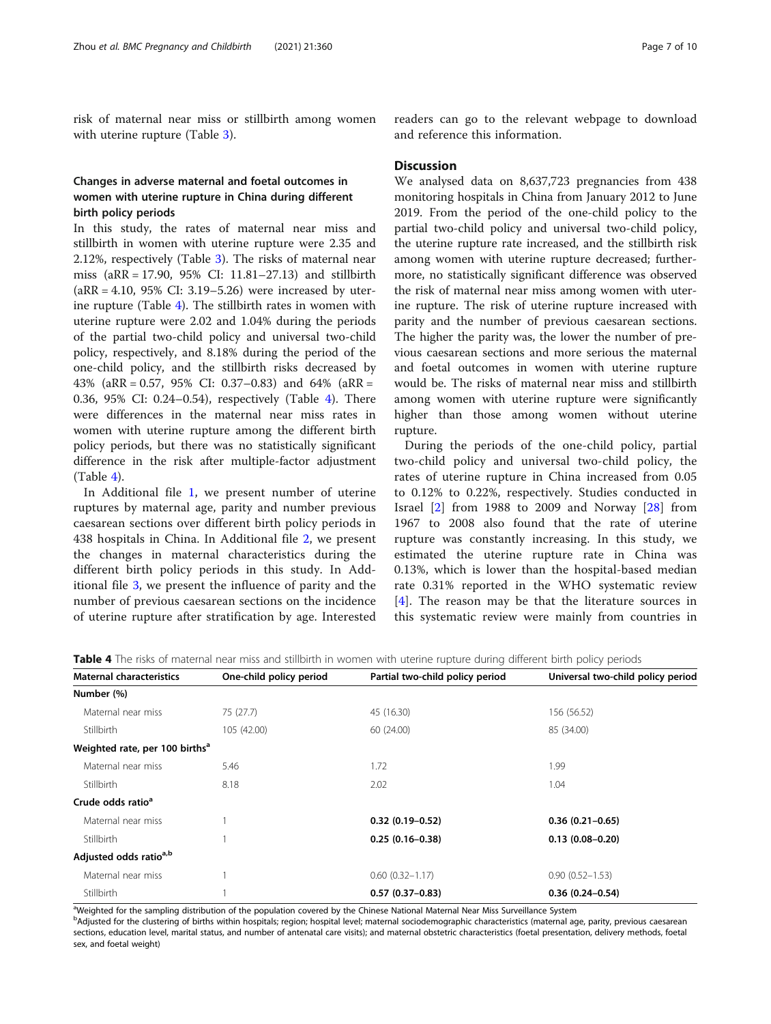risk of maternal near miss or stillbirth among women with uterine rupture (Table [3](#page-5-0)).

# Changes in adverse maternal and foetal outcomes in women with uterine rupture in China during different birth policy periods

In this study, the rates of maternal near miss and stillbirth in women with uterine rupture were 2.35 and 2.12%, respectively (Table [3](#page-5-0)). The risks of maternal near miss (aRR = 17.90, 95% CI: 11.81–27.13) and stillbirth  $(aRR = 4.10, 95\% \text{ CI: } 3.19 - 5.26)$  were increased by uterine rupture (Table 4). The stillbirth rates in women with uterine rupture were 2.02 and 1.04% during the periods of the partial two-child policy and universal two-child policy, respectively, and 8.18% during the period of the one-child policy, and the stillbirth risks decreased by 43% (aRR = 0.57, 95% CI: 0.37–0.83) and 64% (aRR = 0.36, 95% CI: 0.24–0.54), respectively (Table 4). There were differences in the maternal near miss rates in women with uterine rupture among the different birth policy periods, but there was no statistically significant difference in the risk after multiple-factor adjustment (Table 4).

In Additional file [1,](#page-8-0) we present number of uterine ruptures by maternal age, parity and number previous caesarean sections over different birth policy periods in 438 hospitals in China. In Additional file [2](#page-8-0), we present the changes in maternal characteristics during the different birth policy periods in this study. In Additional file [3,](#page-8-0) we present the influence of parity and the number of previous caesarean sections on the incidence of uterine rupture after stratification by age. Interested

readers can go to the relevant webpage to download and reference this information.

# **Discussion**

We analysed data on 8,637,723 pregnancies from 438 monitoring hospitals in China from January 2012 to June 2019. From the period of the one-child policy to the partial two-child policy and universal two-child policy, the uterine rupture rate increased, and the stillbirth risk among women with uterine rupture decreased; furthermore, no statistically significant difference was observed the risk of maternal near miss among women with uterine rupture. The risk of uterine rupture increased with parity and the number of previous caesarean sections. The higher the parity was, the lower the number of previous caesarean sections and more serious the maternal and foetal outcomes in women with uterine rupture would be. The risks of maternal near miss and stillbirth among women with uterine rupture were significantly higher than those among women without uterine rupture.

During the periods of the one-child policy, partial two-child policy and universal two-child policy, the rates of uterine rupture in China increased from 0.05 to 0.12% to 0.22%, respectively. Studies conducted in Israel [[2\]](#page-9-0) from 1988 to 2009 and Norway [[28](#page-9-0)] from 1967 to 2008 also found that the rate of uterine rupture was constantly increasing. In this study, we estimated the uterine rupture rate in China was 0.13%, which is lower than the hospital-based median rate 0.31% reported in the WHO systematic review [[4](#page-9-0)]. The reason may be that the literature sources in this systematic review were mainly from countries in

| <b>Maternal characteristics</b>            | One-child policy period | Partial two-child policy period | Universal two-child policy period |
|--------------------------------------------|-------------------------|---------------------------------|-----------------------------------|
| Number (%)                                 |                         |                                 |                                   |
| Maternal near miss                         | 75 (27.7)               | 45 (16.30)                      | 156 (56.52)                       |
| Stillbirth                                 | 105 (42.00)             | 60 (24.00)                      | 85 (34.00)                        |
| Weighted rate, per 100 births <sup>a</sup> |                         |                                 |                                   |
| Maternal near miss                         | 5.46                    | 1.72                            | 1.99                              |
| Stillbirth                                 | 8.18                    | 2.02                            | 1.04                              |
| Crude odds ratio <sup>a</sup>              |                         |                                 |                                   |
| Maternal near miss                         |                         | $0.32(0.19-0.52)$               | $0.36(0.21-0.65)$                 |
| Stillbirth                                 |                         | $0.25(0.16-0.38)$               | $0.13(0.08 - 0.20)$               |
| Adjusted odds ratio <sup>a,b</sup>         |                         |                                 |                                   |
| Maternal near miss                         |                         | $0.60(0.32 - 1.17)$             | $0.90(0.52 - 1.53)$               |
| Stillbirth                                 |                         | $0.57(0.37-0.83)$               | $0.36(0.24 - 0.54)$               |

Table 4 The risks of maternal near miss and stillbirth in women with uterine rupture during different birth policy periods

a<br>Weighted for the sampling distribution of the population covered by the Chinese National Maternal Near Miss Surveillance System

b<br><sup>b</sup>Adjusted for the clustering of births within hospitals; region; hospital level; maternal sociodemographic characteristics (maternal age, parity, previous caesarean sections, education level, marital status, and number of antenatal care visits); and maternal obstetric characteristics (foetal presentation, delivery methods, foetal sex, and foetal weight)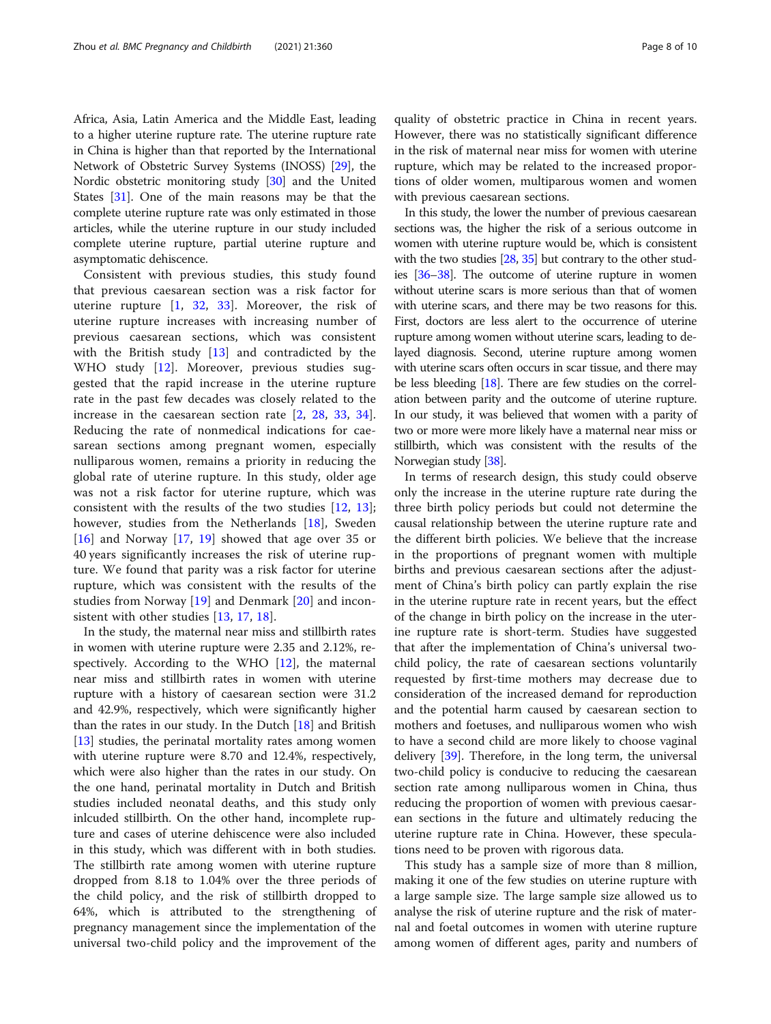Africa, Asia, Latin America and the Middle East, leading to a higher uterine rupture rate. The uterine rupture rate in China is higher than that reported by the International Network of Obstetric Survey Systems (INOSS) [[29](#page-9-0)], the Nordic obstetric monitoring study [\[30\]](#page-9-0) and the United States [\[31\]](#page-9-0). One of the main reasons may be that the complete uterine rupture rate was only estimated in those articles, while the uterine rupture in our study included complete uterine rupture, partial uterine rupture and asymptomatic dehiscence.

Consistent with previous studies, this study found that previous caesarean section was a risk factor for uterine rupture  $\begin{bmatrix} 1 \\ 32 \\ 33 \end{bmatrix}$  $\begin{bmatrix} 1 \\ 32 \\ 33 \end{bmatrix}$  $\begin{bmatrix} 1 \\ 32 \\ 33 \end{bmatrix}$ . Moreover, the risk of uterine rupture increases with increasing number of previous caesarean sections, which was consistent with the British study [\[13](#page-9-0)] and contradicted by the WHO study [[12\]](#page-9-0). Moreover, previous studies suggested that the rapid increase in the uterine rupture rate in the past few decades was closely related to the increase in the caesarean section rate [\[2](#page-9-0), [28](#page-9-0), [33](#page-9-0), [34](#page-9-0)]. Reducing the rate of nonmedical indications for caesarean sections among pregnant women, especially nulliparous women, remains a priority in reducing the global rate of uterine rupture. In this study, older age was not a risk factor for uterine rupture, which was consistent with the results of the two studies [[12,](#page-9-0) [13](#page-9-0)]; however, studies from the Netherlands [[18\]](#page-9-0), Sweden [[16\]](#page-9-0) and Norway [[17,](#page-9-0) [19](#page-9-0)] showed that age over 35 or 40 years significantly increases the risk of uterine rupture. We found that parity was a risk factor for uterine rupture, which was consistent with the results of the studies from Norway [[19](#page-9-0)] and Denmark [\[20](#page-9-0)] and inconsistent with other studies [[13,](#page-9-0) [17](#page-9-0), [18](#page-9-0)].

In the study, the maternal near miss and stillbirth rates in women with uterine rupture were 2.35 and 2.12%, respectively. According to the WHO [[12\]](#page-9-0), the maternal near miss and stillbirth rates in women with uterine rupture with a history of caesarean section were 31.2 and 42.9%, respectively, which were significantly higher than the rates in our study. In the Dutch [[18\]](#page-9-0) and British [[13\]](#page-9-0) studies, the perinatal mortality rates among women with uterine rupture were 8.70 and 12.4%, respectively, which were also higher than the rates in our study. On the one hand, perinatal mortality in Dutch and British studies included neonatal deaths, and this study only inlcuded stillbirth. On the other hand, incomplete rupture and cases of uterine dehiscence were also included in this study, which was different with in both studies. The stillbirth rate among women with uterine rupture dropped from 8.18 to 1.04% over the three periods of the child policy, and the risk of stillbirth dropped to 64%, which is attributed to the strengthening of pregnancy management since the implementation of the universal two-child policy and the improvement of the

quality of obstetric practice in China in recent years. However, there was no statistically significant difference in the risk of maternal near miss for women with uterine rupture, which may be related to the increased proportions of older women, multiparous women and women with previous caesarean sections.

In this study, the lower the number of previous caesarean sections was, the higher the risk of a serious outcome in women with uterine rupture would be, which is consistent with the two studies [\[28,](#page-9-0) [35\]](#page-9-0) but contrary to the other studies [\[36](#page-9-0)–[38](#page-9-0)]. The outcome of uterine rupture in women without uterine scars is more serious than that of women with uterine scars, and there may be two reasons for this. First, doctors are less alert to the occurrence of uterine rupture among women without uterine scars, leading to delayed diagnosis. Second, uterine rupture among women with uterine scars often occurs in scar tissue, and there may be less bleeding [\[18\]](#page-9-0). There are few studies on the correlation between parity and the outcome of uterine rupture. In our study, it was believed that women with a parity of two or more were more likely have a maternal near miss or stillbirth, which was consistent with the results of the Norwegian study [\[38](#page-9-0)].

In terms of research design, this study could observe only the increase in the uterine rupture rate during the three birth policy periods but could not determine the causal relationship between the uterine rupture rate and the different birth policies. We believe that the increase in the proportions of pregnant women with multiple births and previous caesarean sections after the adjustment of China's birth policy can partly explain the rise in the uterine rupture rate in recent years, but the effect of the change in birth policy on the increase in the uterine rupture rate is short-term. Studies have suggested that after the implementation of China's universal twochild policy, the rate of caesarean sections voluntarily requested by first-time mothers may decrease due to consideration of the increased demand for reproduction and the potential harm caused by caesarean section to mothers and foetuses, and nulliparous women who wish to have a second child are more likely to choose vaginal delivery [[39](#page-9-0)]. Therefore, in the long term, the universal two-child policy is conducive to reducing the caesarean section rate among nulliparous women in China, thus reducing the proportion of women with previous caesarean sections in the future and ultimately reducing the uterine rupture rate in China. However, these speculations need to be proven with rigorous data.

This study has a sample size of more than 8 million, making it one of the few studies on uterine rupture with a large sample size. The large sample size allowed us to analyse the risk of uterine rupture and the risk of maternal and foetal outcomes in women with uterine rupture among women of different ages, parity and numbers of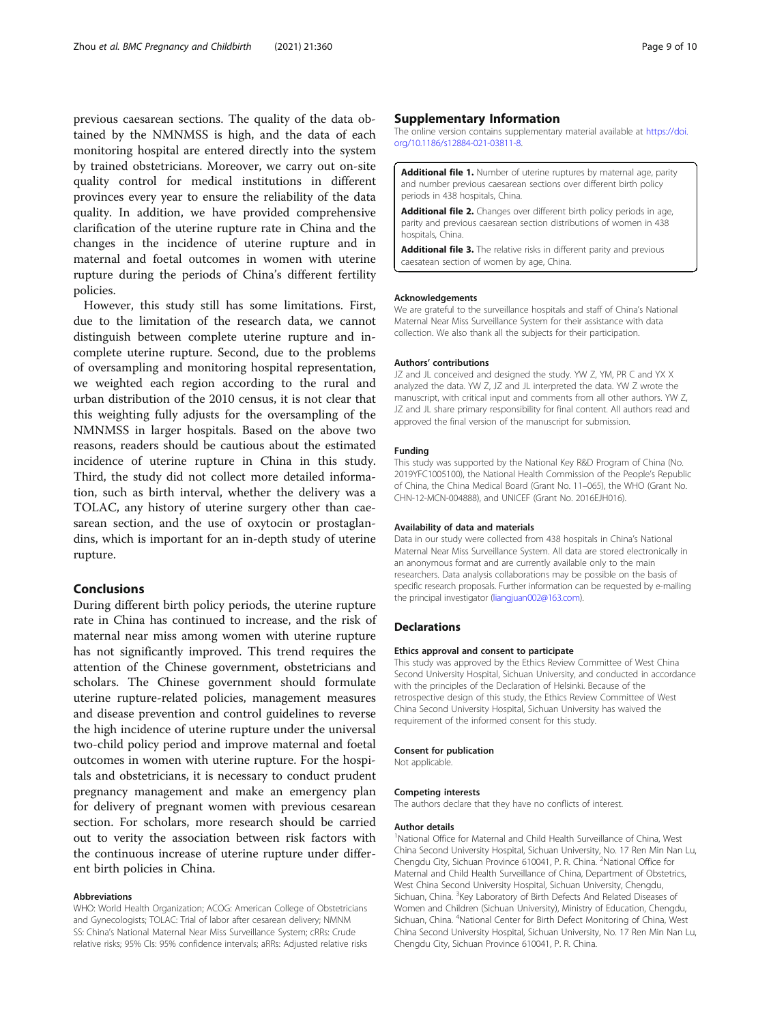<span id="page-8-0"></span>previous caesarean sections. The quality of the data obtained by the NMNMSS is high, and the data of each monitoring hospital are entered directly into the system by trained obstetricians. Moreover, we carry out on-site quality control for medical institutions in different provinces every year to ensure the reliability of the data quality. In addition, we have provided comprehensive clarification of the uterine rupture rate in China and the changes in the incidence of uterine rupture and in maternal and foetal outcomes in women with uterine rupture during the periods of China's different fertility policies.

However, this study still has some limitations. First, due to the limitation of the research data, we cannot distinguish between complete uterine rupture and incomplete uterine rupture. Second, due to the problems of oversampling and monitoring hospital representation, we weighted each region according to the rural and urban distribution of the 2010 census, it is not clear that this weighting fully adjusts for the oversampling of the NMNMSS in larger hospitals. Based on the above two reasons, readers should be cautious about the estimated incidence of uterine rupture in China in this study. Third, the study did not collect more detailed information, such as birth interval, whether the delivery was a TOLAC, any history of uterine surgery other than caesarean section, and the use of oxytocin or prostaglandins, which is important for an in-depth study of uterine rupture.

# Conclusions

During different birth policy periods, the uterine rupture rate in China has continued to increase, and the risk of maternal near miss among women with uterine rupture has not significantly improved. This trend requires the attention of the Chinese government, obstetricians and scholars. The Chinese government should formulate uterine rupture-related policies, management measures and disease prevention and control guidelines to reverse the high incidence of uterine rupture under the universal two-child policy period and improve maternal and foetal outcomes in women with uterine rupture. For the hospitals and obstetricians, it is necessary to conduct prudent pregnancy management and make an emergency plan for delivery of pregnant women with previous cesarean section. For scholars, more research should be carried out to verity the association between risk factors with the continuous increase of uterine rupture under different birth policies in China.

#### Abbreviations

WHO: World Health Organization; ACOG: American College of Obstetricians and Gynecologists; TOLAC: Trial of labor after cesarean delivery; NMNM SS: China's National Maternal Near Miss Surveillance System; cRRs: Crude relative risks; 95% CIs: 95% confidence intervals; aRRs: Adjusted relative risks

# Supplementary Information

The online version contains supplementary material available at [https://doi.](https://doi.org/10.1186/s12884-021-03811-8) [org/10.1186/s12884-021-03811-8.](https://doi.org/10.1186/s12884-021-03811-8)

Additional file 1. Number of uterine ruptures by maternal age, parity and number previous caesarean sections over different birth policy periods in 438 hospitals, China.

Additional file 2. Changes over different birth policy periods in age, parity and previous caesarean section distributions of women in 438 hospitals, China.

Additional file 3. The relative risks in different parity and previous caesatean section of women by age, China.

#### Acknowledgements

We are grateful to the surveillance hospitals and staff of China's National Maternal Near Miss Surveillance System for their assistance with data collection. We also thank all the subjects for their participation.

#### Authors' contributions

JZ and JL conceived and designed the study. YW Z, YM, PR C and YX X analyzed the data. YW Z, JZ and JL interpreted the data. YW Z wrote the manuscript, with critical input and comments from all other authors. YW Z, JZ and JL share primary responsibility for final content. All authors read and approved the final version of the manuscript for submission.

#### Funding

This study was supported by the National Key R&D Program of China (No. 2019YFC1005100), the National Health Commission of the People's Republic of China, the China Medical Board (Grant No. 11–065), the WHO (Grant No. CHN-12-MCN-004888), and UNICEF (Grant No. 2016EJH016).

#### Availability of data and materials

Data in our study were collected from 438 hospitals in China's National Maternal Near Miss Surveillance System. All data are stored electronically in an anonymous format and are currently available only to the main researchers. Data analysis collaborations may be possible on the basis of specific research proposals. Further information can be requested by e-mailing the principal investigator [\(liangjuan002@163.com](mailto:liangjuan002@163.com)).

#### **Declarations**

#### Ethics approval and consent to participate

This study was approved by the Ethics Review Committee of West China Second University Hospital, Sichuan University, and conducted in accordance with the principles of the Declaration of Helsinki. Because of the retrospective design of this study, the Ethics Review Committee of West China Second University Hospital, Sichuan University has waived the requirement of the informed consent for this study.

#### Consent for publication

Not applicable.

#### Competing interests

The authors declare that they have no conflicts of interest.

#### Author details

<sup>1</sup>National Office for Maternal and Child Health Surveillance of China, West China Second University Hospital, Sichuan University, No. 17 Ren Min Nan Lu, Chengdu City, Sichuan Province 610041, P. R. China. <sup>2</sup>National Office for Maternal and Child Health Surveillance of China, Department of Obstetrics, West China Second University Hospital, Sichuan University, Chengdu, Sichuan, China. <sup>3</sup> Key Laboratory of Birth Defects And Related Diseases of Women and Children (Sichuan University), Ministry of Education, Chengdu, Sichuan, China. <sup>4</sup>National Center for Birth Defect Monitoring of China, West China Second University Hospital, Sichuan University, No. 17 Ren Min Nan Lu, Chengdu City, Sichuan Province 610041, P. R. China.